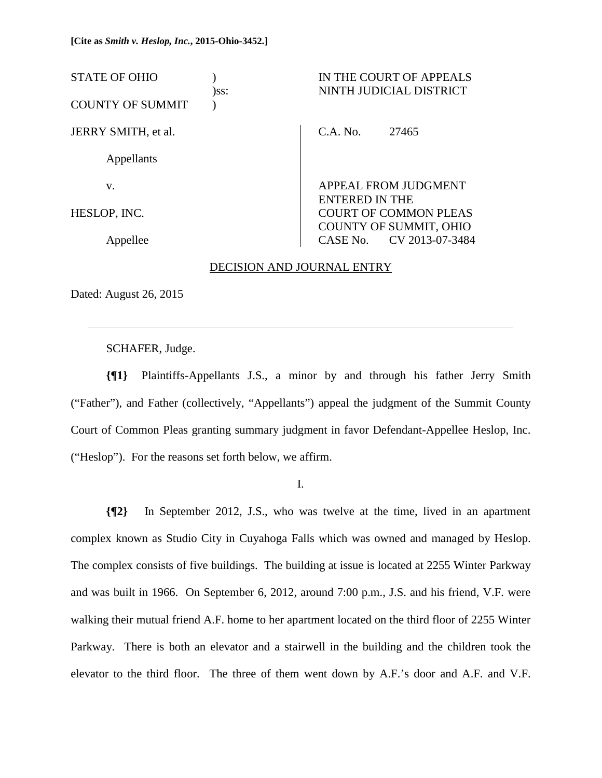| <b>STATE OF OHIO</b>    | )ss: | IN THE COURT OF APPEALS<br>NINTH JUDICIAL DISTRICT           |
|-------------------------|------|--------------------------------------------------------------|
| <b>COUNTY OF SUMMIT</b> |      |                                                              |
| JERRY SMITH, et al.     |      | C.A. No.<br>27465                                            |
| Appellants              |      |                                                              |
| V.                      |      | APPEAL FROM JUDGMENT<br><b>ENTERED IN THE</b>                |
| HESLOP, INC.            |      | <b>COURT OF COMMON PLEAS</b>                                 |
| Appellee                |      | <b>COUNTY OF SUMMIT, OHIO</b><br>CV 2013-07-3484<br>CASE No. |

### DECISION AND JOURNAL ENTRY

Dated: August 26, 2015

 $\overline{a}$ 

SCHAFER, Judge.

**{¶1}** Plaintiffs-Appellants J.S., a minor by and through his father Jerry Smith ("Father"), and Father (collectively, "Appellants") appeal the judgment of the Summit County Court of Common Pleas granting summary judgment in favor Defendant-Appellee Heslop, Inc. ("Heslop"). For the reasons set forth below, we affirm.

I.

**{¶2}** In September 2012, J.S., who was twelve at the time, lived in an apartment complex known as Studio City in Cuyahoga Falls which was owned and managed by Heslop. The complex consists of five buildings. The building at issue is located at 2255 Winter Parkway and was built in 1966. On September 6, 2012, around 7:00 p.m., J.S. and his friend, V.F. were walking their mutual friend A.F. home to her apartment located on the third floor of 2255 Winter Parkway. There is both an elevator and a stairwell in the building and the children took the elevator to the third floor. The three of them went down by A.F.'s door and A.F. and V.F.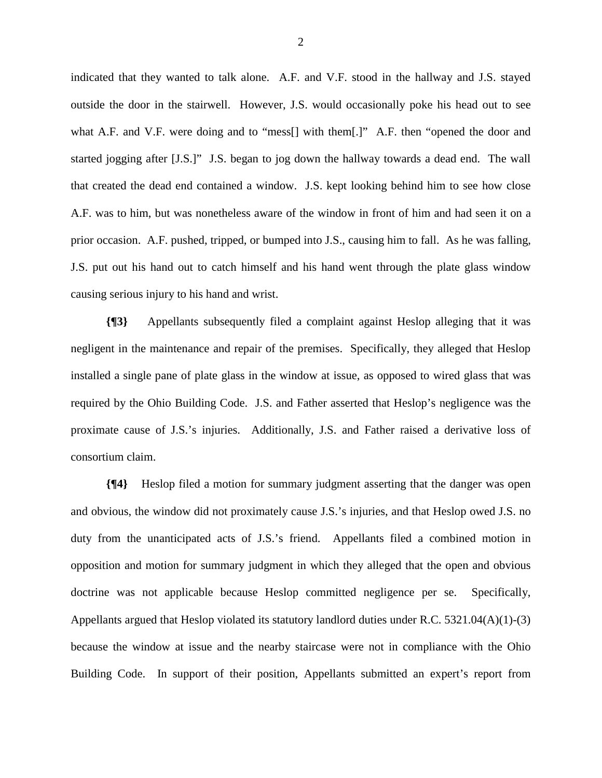indicated that they wanted to talk alone. A.F. and V.F. stood in the hallway and J.S. stayed outside the door in the stairwell. However, J.S. would occasionally poke his head out to see what A.F. and V.F. were doing and to "mess<sup>[]</sup> with them[.]" A.F. then "opened the door and started jogging after [J.S.]" J.S. began to jog down the hallway towards a dead end. The wall that created the dead end contained a window. J.S. kept looking behind him to see how close A.F. was to him, but was nonetheless aware of the window in front of him and had seen it on a prior occasion. A.F. pushed, tripped, or bumped into J.S., causing him to fall. As he was falling, J.S. put out his hand out to catch himself and his hand went through the plate glass window causing serious injury to his hand and wrist.

**{¶3}** Appellants subsequently filed a complaint against Heslop alleging that it was negligent in the maintenance and repair of the premises. Specifically, they alleged that Heslop installed a single pane of plate glass in the window at issue, as opposed to wired glass that was required by the Ohio Building Code. J.S. and Father asserted that Heslop's negligence was the proximate cause of J.S.'s injuries. Additionally, J.S. and Father raised a derivative loss of consortium claim.

**{¶4}** Heslop filed a motion for summary judgment asserting that the danger was open and obvious, the window did not proximately cause J.S.'s injuries, and that Heslop owed J.S. no duty from the unanticipated acts of J.S.'s friend. Appellants filed a combined motion in opposition and motion for summary judgment in which they alleged that the open and obvious doctrine was not applicable because Heslop committed negligence per se. Specifically, Appellants argued that Heslop violated its statutory landlord duties under R.C. 5321.04(A)(1)-(3) because the window at issue and the nearby staircase were not in compliance with the Ohio Building Code. In support of their position, Appellants submitted an expert's report from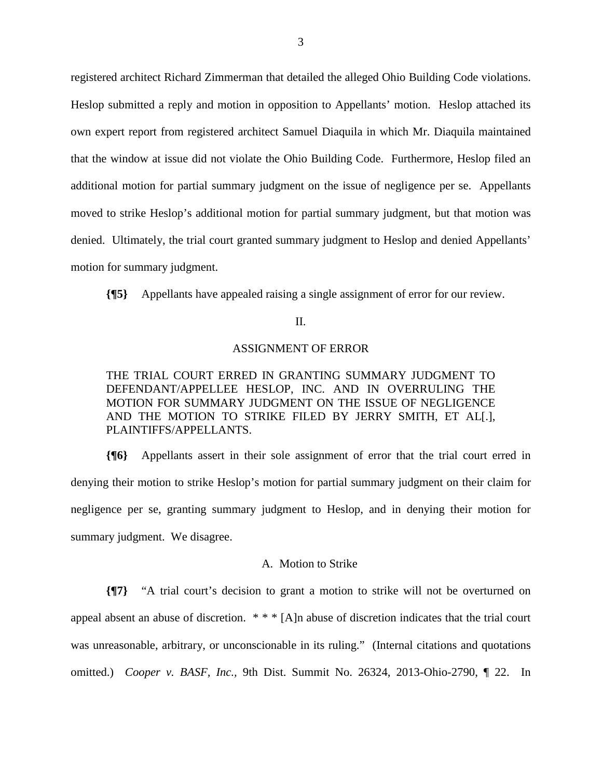registered architect Richard Zimmerman that detailed the alleged Ohio Building Code violations. Heslop submitted a reply and motion in opposition to Appellants' motion. Heslop attached its own expert report from registered architect Samuel Diaquila in which Mr. Diaquila maintained that the window at issue did not violate the Ohio Building Code. Furthermore, Heslop filed an additional motion for partial summary judgment on the issue of negligence per se. Appellants moved to strike Heslop's additional motion for partial summary judgment, but that motion was denied. Ultimately, the trial court granted summary judgment to Heslop and denied Appellants' motion for summary judgment.

**{¶5}** Appellants have appealed raising a single assignment of error for our review.

# II.

### ASSIGNMENT OF ERROR

# THE TRIAL COURT ERRED IN GRANTING SUMMARY JUDGMENT TO DEFENDANT/APPELLEE HESLOP, INC. AND IN OVERRULING THE MOTION FOR SUMMARY JUDGMENT ON THE ISSUE OF NEGLIGENCE AND THE MOTION TO STRIKE FILED BY JERRY SMITH, ET AL[.], PLAINTIFFS/APPELLANTS.

**{¶6}** Appellants assert in their sole assignment of error that the trial court erred in denying their motion to strike Heslop's motion for partial summary judgment on their claim for negligence per se, granting summary judgment to Heslop, and in denying their motion for summary judgment. We disagree.

### A. Motion to Strike

**{¶7}** "A trial court's decision to grant a motion to strike will not be overturned on appeal absent an abuse of discretion. \* \* \* [A]n abuse of discretion indicates that the trial court was unreasonable, arbitrary, or unconscionable in its ruling." (Internal citations and quotations omitted.) *Cooper v. BASF, Inc.,* 9th Dist. Summit No. 26324, 2013-Ohio-2790, ¶ 22. In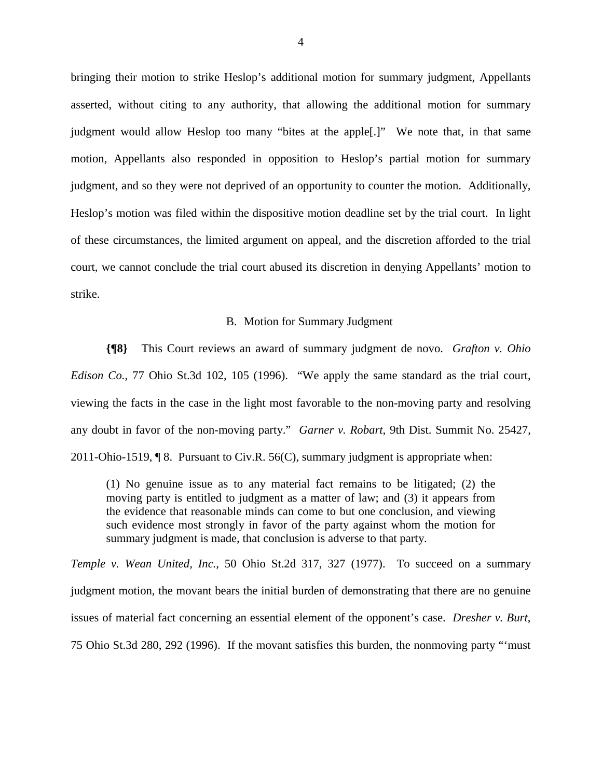bringing their motion to strike Heslop's additional motion for summary judgment, Appellants asserted, without citing to any authority, that allowing the additional motion for summary judgment would allow Heslop too many "bites at the apple[.]" We note that, in that same motion, Appellants also responded in opposition to Heslop's partial motion for summary judgment, and so they were not deprived of an opportunity to counter the motion. Additionally, Heslop's motion was filed within the dispositive motion deadline set by the trial court. In light of these circumstances, the limited argument on appeal, and the discretion afforded to the trial court, we cannot conclude the trial court abused its discretion in denying Appellants' motion to strike.

## B. Motion for Summary Judgment

**{¶8}** This Court reviews an award of summary judgment de novo. *Grafton v. Ohio Edison Co.*, 77 Ohio St.3d 102, 105 (1996). "We apply the same standard as the trial court, viewing the facts in the case in the light most favorable to the non-moving party and resolving any doubt in favor of the non-moving party." *Garner v. Robart*, 9th Dist. Summit No. 25427, 2011-Ohio-1519, ¶ 8. Pursuant to Civ.R. 56(C), summary judgment is appropriate when:

(1) No genuine issue as to any material fact remains to be litigated; (2) the moving party is entitled to judgment as a matter of law; and (3) it appears from the evidence that reasonable minds can come to but one conclusion, and viewing such evidence most strongly in favor of the party against whom the motion for summary judgment is made, that conclusion is adverse to that party.

*Temple v. Wean United, Inc.,* 50 Ohio St.2d 317, 327 (1977). To succeed on a summary judgment motion, the movant bears the initial burden of demonstrating that there are no genuine issues of material fact concerning an essential element of the opponent's case. *Dresher v. Burt*, 75 Ohio St.3d 280, 292 (1996). If the movant satisfies this burden, the nonmoving party "'must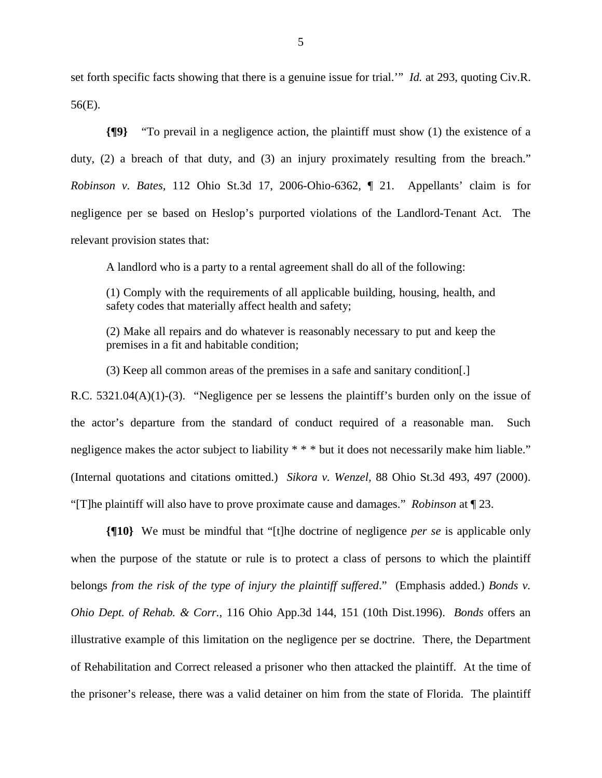set forth specific facts showing that there is a genuine issue for trial.'" *Id.* at 293, quoting Civ.R. 56(E).

**{¶9}** "To prevail in a negligence action, the plaintiff must show (1) the existence of a duty, (2) a breach of that duty, and (3) an injury proximately resulting from the breach." *Robinson v. Bates,* 112 Ohio St.3d 17, 2006-Ohio-6362, ¶ 21. Appellants' claim is for negligence per se based on Heslop's purported violations of the Landlord-Tenant Act. The relevant provision states that:

A landlord who is a party to a rental agreement shall do all of the following:

(1) Comply with the requirements of all applicable building, housing, health, and safety codes that materially affect health and safety;

(2) Make all repairs and do whatever is reasonably necessary to put and keep the premises in a fit and habitable condition;

(3) Keep all common areas of the premises in a safe and sanitary condition[.]

R.C. 5321.04(A)(1)-(3). "Negligence per se lessens the plaintiff's burden only on the issue of the actor's departure from the standard of conduct required of a reasonable man. Such negligence makes the actor subject to liability \* \* \* but it does not necessarily make him liable." (Internal quotations and citations omitted.) *Sikora v. Wenzel,* 88 Ohio St.3d 493, 497 (2000). "[T]he plaintiff will also have to prove proximate cause and damages." *Robinson* at ¶ 23.

**{¶10}** We must be mindful that "[t]he doctrine of negligence *per se* is applicable only when the purpose of the statute or rule is to protect a class of persons to which the plaintiff belongs *from the risk of the type of injury the plaintiff suffered*." (Emphasis added.) *Bonds v. Ohio Dept. of Rehab. & Corr.*, 116 Ohio App.3d 144, 151 (10th Dist.1996). *Bonds* offers an illustrative example of this limitation on the negligence per se doctrine. There, the Department of Rehabilitation and Correct released a prisoner who then attacked the plaintiff. At the time of the prisoner's release, there was a valid detainer on him from the state of Florida. The plaintiff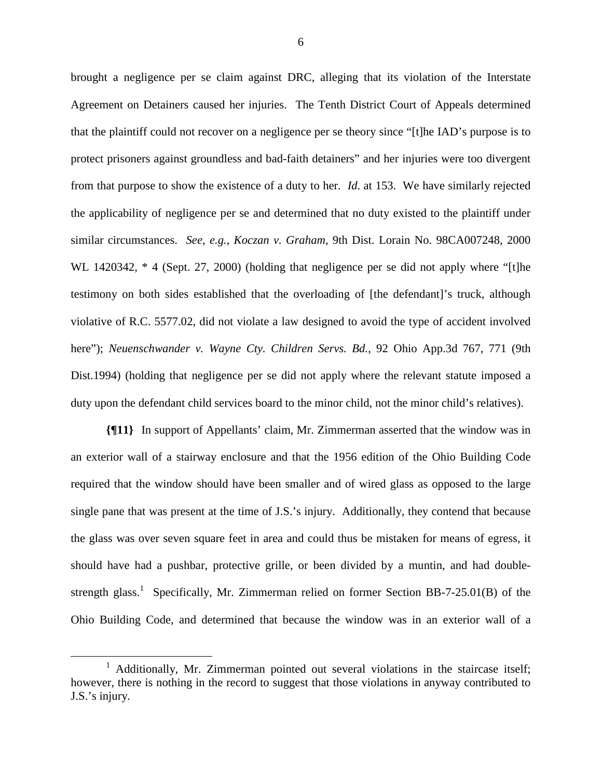brought a negligence per se claim against DRC, alleging that its violation of the Interstate Agreement on Detainers caused her injuries. The Tenth District Court of Appeals determined that the plaintiff could not recover on a negligence per se theory since "[t]he IAD's purpose is to protect prisoners against groundless and bad-faith detainers" and her injuries were too divergent from that purpose to show the existence of a duty to her. *Id*. at 153. We have similarly rejected the applicability of negligence per se and determined that no duty existed to the plaintiff under similar circumstances. *See, e.g.*, *Koczan v. Graham*, 9th Dist. Lorain No. 98CA007248, 2000 WL 1420342,  $*$  4 (Sept. 27, 2000) (holding that negligence per se did not apply where "[t]he testimony on both sides established that the overloading of [the defendant]'s truck, although violative of R.C. 5577.02, did not violate a law designed to avoid the type of accident involved here"); *Neuenschwander v. Wayne Cty. Children Servs. Bd.*, 92 Ohio App.3d 767, 771 (9th Dist.1994) (holding that negligence per se did not apply where the relevant statute imposed a duty upon the defendant child services board to the minor child, not the minor child's relatives).

**{¶11}** In support of Appellants' claim, Mr. Zimmerman asserted that the window was in an exterior wall of a stairway enclosure and that the 1956 edition of the Ohio Building Code required that the window should have been smaller and of wired glass as opposed to the large single pane that was present at the time of J.S.'s injury. Additionally, they contend that because the glass was over seven square feet in area and could thus be mistaken for means of egress, it should have had a pushbar, protective grille, or been divided by a muntin, and had doublestrength glass.<sup>1</sup> Specifically, Mr. Zimmerman relied on former Section BB-7-25.01(B) of the Ohio Building Code, and determined that because the window was in an exterior wall of a

 $\frac{1}{1}$ <sup>1</sup> Additionally, Mr. Zimmerman pointed out several violations in the staircase itself; however, there is nothing in the record to suggest that those violations in anyway contributed to J.S.'s injury.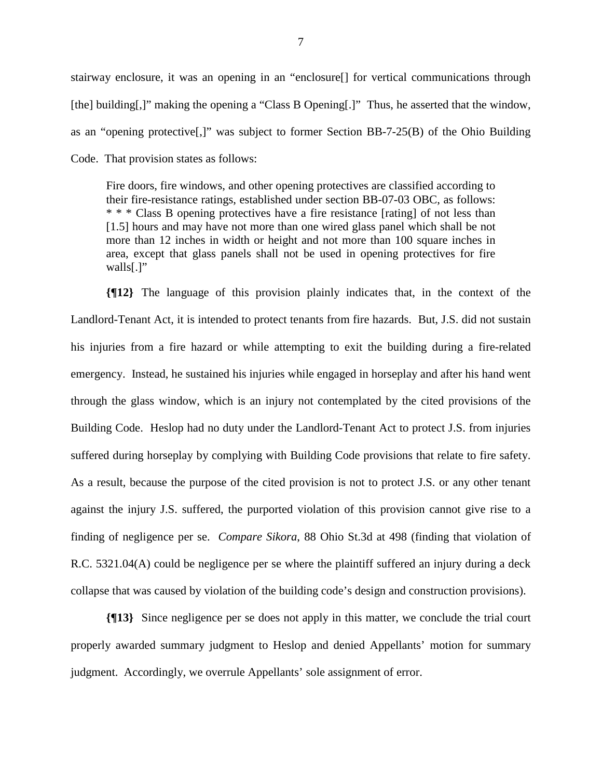stairway enclosure, it was an opening in an "enclosure[] for vertical communications through [the] building[,]" making the opening a "Class B Opening[.]" Thus, he asserted that the window, as an "opening protective[,]" was subject to former Section BB-7-25(B) of the Ohio Building Code. That provision states as follows:

Fire doors, fire windows, and other opening protectives are classified according to their fire-resistance ratings, established under section BB-07-03 OBC, as follows: \* \* \* Class B opening protectives have a fire resistance [rating] of not less than [1.5] hours and may have not more than one wired glass panel which shall be not more than 12 inches in width or height and not more than 100 square inches in area, except that glass panels shall not be used in opening protectives for fire walls[.]"

**{¶12}** The language of this provision plainly indicates that, in the context of the Landlord-Tenant Act, it is intended to protect tenants from fire hazards. But, J.S. did not sustain his injuries from a fire hazard or while attempting to exit the building during a fire-related emergency. Instead, he sustained his injuries while engaged in horseplay and after his hand went through the glass window, which is an injury not contemplated by the cited provisions of the Building Code. Heslop had no duty under the Landlord-Tenant Act to protect J.S. from injuries suffered during horseplay by complying with Building Code provisions that relate to fire safety. As a result, because the purpose of the cited provision is not to protect J.S. or any other tenant against the injury J.S. suffered, the purported violation of this provision cannot give rise to a finding of negligence per se. *Compare Sikora*, 88 Ohio St.3d at 498 (finding that violation of R.C. 5321.04(A) could be negligence per se where the plaintiff suffered an injury during a deck collapse that was caused by violation of the building code's design and construction provisions).

**{¶13}** Since negligence per se does not apply in this matter, we conclude the trial court properly awarded summary judgment to Heslop and denied Appellants' motion for summary judgment. Accordingly, we overrule Appellants' sole assignment of error.

7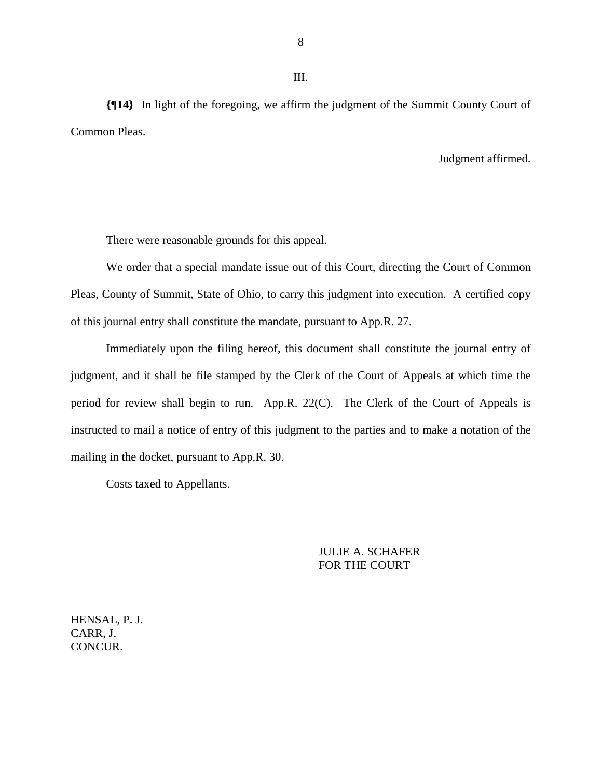**{¶14}** In light of the foregoing, we affirm the judgment of the Summit County Court of Common Pleas.

Judgment affirmed.

There were reasonable grounds for this appeal.

 We order that a special mandate issue out of this Court, directing the Court of Common Pleas, County of Summit, State of Ohio, to carry this judgment into execution. A certified copy of this journal entry shall constitute the mandate, pursuant to App.R. 27.

 Immediately upon the filing hereof, this document shall constitute the journal entry of judgment, and it shall be file stamped by the Clerk of the Court of Appeals at which time the period for review shall begin to run. App.R. 22(C). The Clerk of the Court of Appeals is instructed to mail a notice of entry of this judgment to the parties and to make a notation of the mailing in the docket, pursuant to App.R. 30.

Costs taxed to Appellants.

 JULIE A. SCHAFER FOR THE COURT

HENSAL, P. J. CARR, J. CONCUR.

8

III.